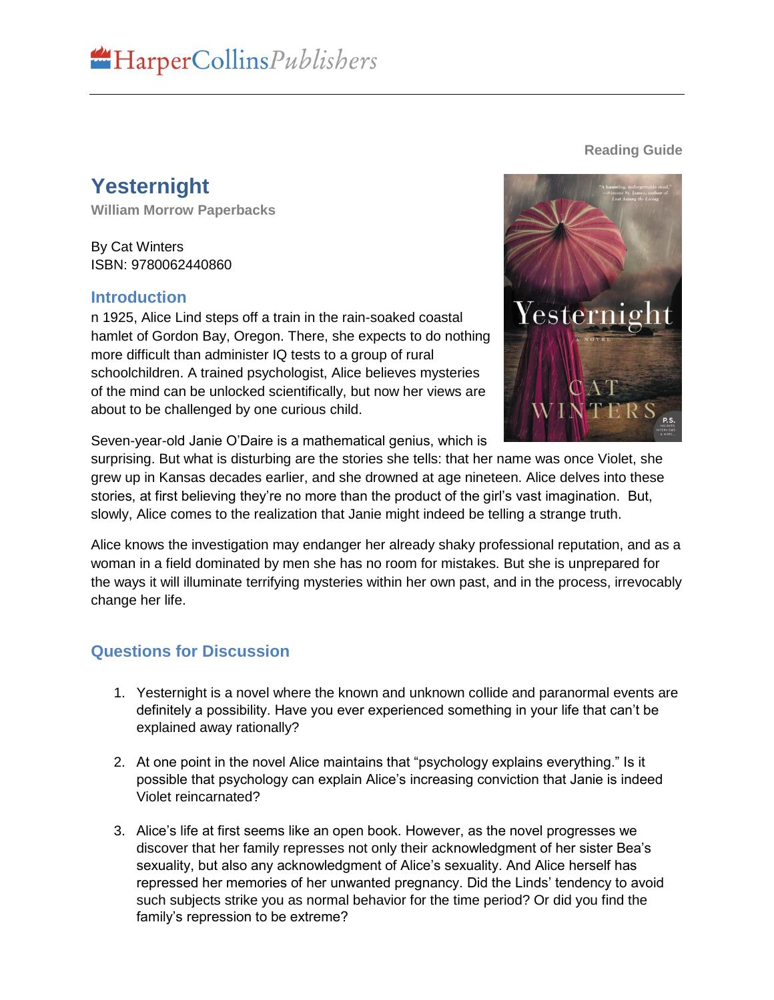## **Yesternight**

**William Morrow Paperbacks**

By Cat Winters ISBN: 9780062440860

## **Introduction**

n 1925, Alice Lind steps off a train in the rain-soaked coastal hamlet of Gordon Bay, Oregon. There, she expects to do nothing more difficult than administer IQ tests to a group of rural schoolchildren. A trained psychologist, Alice believes mysteries of the mind can be unlocked scientifically, but now her views are about to be challenged by one curious child.

Seven-year-old Janie O'Daire is a mathematical genius, which is

surprising. But what is disturbing are the stories she tells: that her name was once Violet, she grew up in Kansas decades earlier, and she drowned at age nineteen. Alice delves into these stories, at first believing they're no more than the product of the girl's vast imagination. But, slowly, Alice comes to the realization that Janie might indeed be telling a strange truth.

Alice knows the investigation may endanger her already shaky professional reputation, and as a woman in a field dominated by men she has no room for mistakes. But she is unprepared for the ways it will illuminate terrifying mysteries within her own past, and in the process, irrevocably change her life.

## **Questions for Discussion**

- 1. Yesternight is a novel where the known and unknown collide and paranormal events are definitely a possibility. Have you ever experienced something in your life that can't be explained away rationally?
- 2. At one point in the novel Alice maintains that "psychology explains everything." Is it possible that psychology can explain Alice's increasing conviction that Janie is indeed Violet reincarnated?
- 3. Alice's life at first seems like an open book. However, as the novel progresses we discover that her family represses not only their acknowledgment of her sister Bea's sexuality, but also any acknowledgment of Alice's sexuality. And Alice herself has repressed her memories of her unwanted pregnancy. Did the Linds' tendency to avoid such subjects strike you as normal behavior for the time period? Or did you find the family's repression to be extreme?



## **Reading Guide**